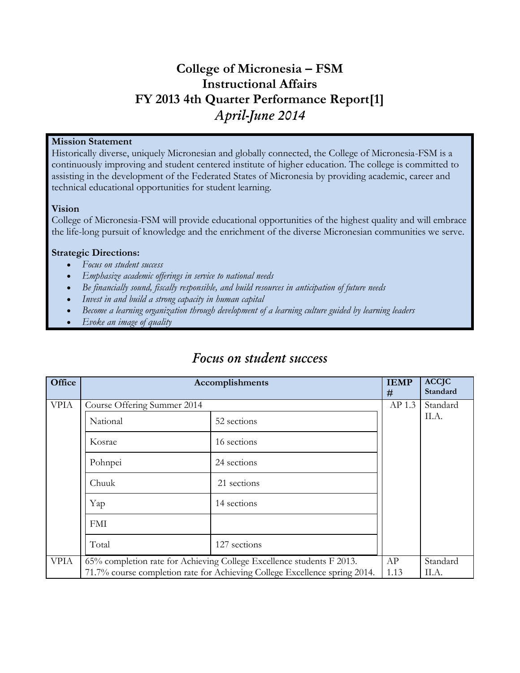### **College of Micronesia – FSM Instructional Affairs FY 2013 4th Quarter Performance Report[1]** *April-June 2014*

#### **Mission Statement**

Historically diverse, uniquely Micronesian and globally connected, the College of Micronesia-FSM is a continuously improving and student centered institute of higher education. The college is committed to assisting in the development of the Federated States of Micronesia by providing academic, career and technical educational opportunities for student learning.

### **Vision**

College of Micronesia-FSM will provide educational opportunities of the highest quality and will embrace the life-long pursuit of knowledge and the enrichment of the diverse Micronesian communities we serve.

### **Strategic Directions:**

- *Focus on student success*
- *Emphasize academic offerings in service to national needs*
- *Be financially sound, fiscally responsible, and build resources in anticipation of future needs*
- *Invest in and build a strong capacity in human capital*
- *Become a learning organization through development of a learning culture guided by learning leaders*
- *Evoke an image of quality*

| Office      |                             | Accomplishments                                                            | <b>IEMP</b><br># | <b>ACCJC</b><br>Standard |
|-------------|-----------------------------|----------------------------------------------------------------------------|------------------|--------------------------|
| <b>VPIA</b> | Course Offering Summer 2014 |                                                                            | AP 1.3           | Standard                 |
|             | National                    | 52 sections                                                                |                  | II.A.                    |
|             | Kosrae                      | 16 sections                                                                |                  |                          |
|             | Pohnpei                     | 24 sections                                                                |                  |                          |
|             | Chuuk                       | 21 sections                                                                |                  |                          |
|             | Yap                         | 14 sections                                                                |                  |                          |
|             | FMI                         |                                                                            |                  |                          |
|             | Total                       | 127 sections                                                               |                  |                          |
| <b>VPIA</b> |                             | 65% completion rate for Achieving College Excellence students F 2013.      | AP               | Standard                 |
|             |                             | 71.7% course completion rate for Achieving College Excellence spring 2014. | 1.13             | II.A.                    |

### *Focus on student success*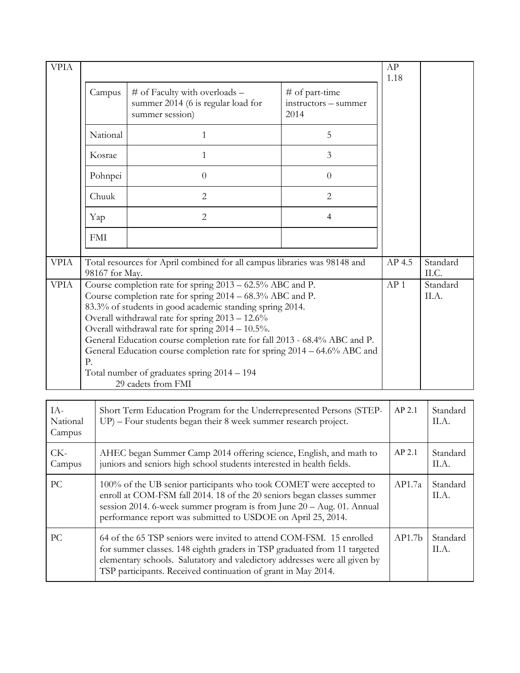| <b>VPIA</b>               |                |                                                                                                                                                                                                                                                                                                                                                                                                                                                                                                                         |                                                | AP<br>1.18      |                   |
|---------------------------|----------------|-------------------------------------------------------------------------------------------------------------------------------------------------------------------------------------------------------------------------------------------------------------------------------------------------------------------------------------------------------------------------------------------------------------------------------------------------------------------------------------------------------------------------|------------------------------------------------|-----------------|-------------------|
|                           | Campus         | # of Faculty with overloads $-$<br>summer 2014 (6 is regular load for<br>summer session)                                                                                                                                                                                                                                                                                                                                                                                                                                | # of part-time<br>instructors - summer<br>2014 |                 |                   |
|                           | National       | 1                                                                                                                                                                                                                                                                                                                                                                                                                                                                                                                       | 5                                              |                 |                   |
|                           | Kosrae         | 1                                                                                                                                                                                                                                                                                                                                                                                                                                                                                                                       | 3                                              |                 |                   |
|                           | Pohnpei        | $\overline{0}$                                                                                                                                                                                                                                                                                                                                                                                                                                                                                                          | $\theta$                                       |                 |                   |
|                           | Chuuk          | $\overline{2}$                                                                                                                                                                                                                                                                                                                                                                                                                                                                                                          | $\overline{2}$                                 |                 |                   |
|                           | Yap            | $\overline{2}$                                                                                                                                                                                                                                                                                                                                                                                                                                                                                                          | $\overline{4}$                                 |                 |                   |
|                           | <b>FMI</b>     |                                                                                                                                                                                                                                                                                                                                                                                                                                                                                                                         |                                                |                 |                   |
| <b>VPIA</b>               | 98167 for May. | Total resources for April combined for all campus libraries was 98148 and                                                                                                                                                                                                                                                                                                                                                                                                                                               |                                                | AP 4.5          | Standard<br>II.C. |
| <b>VPIA</b>               | P.             | Course completion rate for spring 2013 - 62.5% ABC and P.<br>Course completion rate for spring 2014 – 68.3% ABC and P.<br>83.3% of students in good academic standing spring 2014.<br>Overall withdrawal rate for spring 2013 - 12.6%<br>Overall withdrawal rate for spring 2014 - 10.5%.<br>General Education course completion rate for fall 2013 - 68.4% ABC and P.<br>General Education course completion rate for spring 2014 – 64.6% ABC and<br>Total number of graduates spring 2014 - 194<br>29 cadets from FMI |                                                | AP <sub>1</sub> | Standard<br>II.A. |
|                           |                |                                                                                                                                                                                                                                                                                                                                                                                                                                                                                                                         |                                                |                 |                   |
| IA-<br>National<br>Campus |                | Short Term Education Program for the Underrepresented Persons (STEP-<br>UP) - Four students began their 8 week summer research project.                                                                                                                                                                                                                                                                                                                                                                                 |                                                | AP 2.1          | Standard<br>II.A. |
| $CK-$<br>Campus           |                | AHEC began Summer Camp 2014 offering science, English, and math to<br>juniors and seniors high school students interested in health fields.                                                                                                                                                                                                                                                                                                                                                                             |                                                | AP 2.1          | Standard<br>II.A. |
| PC                        |                | 100% of the UB senior participants who took COMET were accepted to<br>enroll at COM-FSM fall 2014. 18 of the 20 seniors began classes summer                                                                                                                                                                                                                                                                                                                                                                            |                                                | AP1.7a          | Standard<br>II.A. |

|    | enroll at COM-FSM fall 2014. 18 of the 20 seniors began classes summer<br>session 2014. 6-week summer program is from June 20 - Aug. 01. Annual<br>performance report was submitted to USDOE on April 25, 2014.                                                                                 |                    | П.А.              |
|----|-------------------------------------------------------------------------------------------------------------------------------------------------------------------------------------------------------------------------------------------------------------------------------------------------|--------------------|-------------------|
| PC | 64 of the 65 TSP seniors were invited to attend COM-FSM. 15 enrolled<br>for summer classes. 148 eighth graders in TSP graduated from 11 targeted<br>elementary schools. Salutatory and valedictory addresses were all given by<br>TSP participants. Received continuation of grant in May 2014. | AP1.7 <sub>b</sub> | Standard<br>II.A. |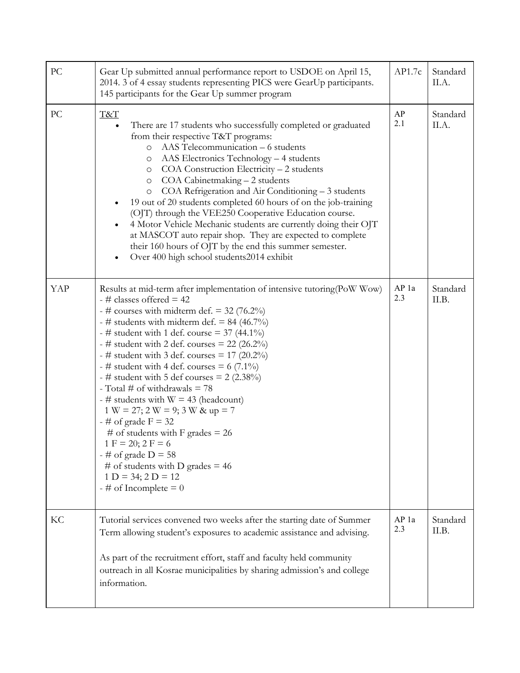| PC  | Gear Up submitted annual performance report to USDOE on April 15,<br>2014. 3 of 4 essay students representing PICS were GearUp participants.<br>145 participants for the Gear Up summer program                                                                                                                                                                                                                                                                                                                                                                                                                                                                                                                                                                                               | AP1.7c       | Standard<br>II.A. |
|-----|-----------------------------------------------------------------------------------------------------------------------------------------------------------------------------------------------------------------------------------------------------------------------------------------------------------------------------------------------------------------------------------------------------------------------------------------------------------------------------------------------------------------------------------------------------------------------------------------------------------------------------------------------------------------------------------------------------------------------------------------------------------------------------------------------|--------------|-------------------|
| PC  | <b>T&amp;T</b><br>There are 17 students who successfully completed or graduated<br>from their respective T&T programs:<br>AAS Telecommunication – 6 students<br>$\circ$<br>AAS Electronics Technology - 4 students<br>O<br>COA Construction Electricity - 2 students<br>$\circ$<br>COA Cabinetmaking - 2 students<br>$\circ$<br>COA Refrigeration and Air Conditioning - 3 students<br>$\circ$<br>19 out of 20 students completed 60 hours of on the job-training<br>(OJT) through the VEE250 Cooperative Education course.<br>4 Motor Vehicle Mechanic students are currently doing their OJT<br>$\bullet$<br>at MASCOT auto repair shop. They are expected to complete<br>their 160 hours of OJT by the end this summer semester.<br>Over 400 high school students2014 exhibit<br>$\bullet$ | AP<br>2.1    | Standard<br>II.A. |
| YAP | Results at mid-term after implementation of intensive tutoring(PoW Wow)<br>$-$ # classes offered = 42<br>- # courses with midterm def. = $32$ (76.2%)<br>- # students with midterm def. = 84 (46.7%)<br>- # student with 1 def. course = $37(44.1\%)$<br>- # student with 2 def. courses = $22$ (26.2%)<br>- # student with 3 def. courses = $17$ (20.2%)<br>- # student with 4 def. courses = $6(7.1\%)$<br>- # student with 5 def courses = $2(2.38\%)$<br>- Total # of withdrawals $= 78$<br>$-$ # students with W = 43 (headcount)<br>$1 W = 27$ ; $2 W = 9$ ; $3 W & up = 7$<br>$-$ # of grade F = 32<br># of students with F grades = $26$<br>$1 F = 20; 2 F = 6$<br>$-$ # of grade D = 58<br># of students with D grades = $46$<br>$1 D = 34; 2 D = 12$<br>$-$ # of Incomplete = 0     | AP 1a<br>2.3 | Standard<br>II.B. |
| KC  | Tutorial services convened two weeks after the starting date of Summer<br>Term allowing student's exposures to academic assistance and advising.<br>As part of the recruitment effort, staff and faculty held community<br>outreach in all Kosrae municipalities by sharing admission's and college<br>information.                                                                                                                                                                                                                                                                                                                                                                                                                                                                           | AP 1a<br>2.3 | Standard<br>II.B. |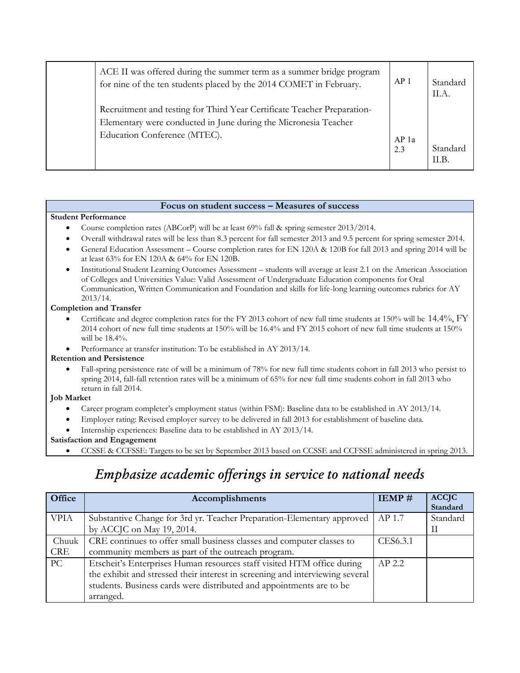| ACE II was offered during the summer term as a summer bridge program<br>for nine of the ten students placed by the 2014 COMET in February.                                 | AP <sub>1</sub> | Standard<br>II.A. |
|----------------------------------------------------------------------------------------------------------------------------------------------------------------------------|-----------------|-------------------|
| Recruitment and testing for Third Year Certificate Teacher Preparation-<br>Elementary were conducted in June during the Micronesia Teacher<br>Education Conference (MTEC). | AP 1a<br>2.3    | Standard<br>II.B. |

#### **Focus on student success – Measures of success**

#### **Student Performance**

- Course completion rates (ABCorP) will be at least 69% fall & spring semester 2013/2014.
- Overall withdrawal rates will be less than 8.3 percent for fall semester 2013 and 9.5 percent for spring semester 2014.
- General Education Assessment Course completion rates for EN 120A & 120B for fall 2013 and spring 2014 will be at least 63% for EN 120A & 64% for EN 120B.
- Institutional Student Learning Outcomes Assessment students will average at least 2.1 on the American Association of Colleges and Universities Value: Valid Assessment of Undergraduate Education components for Oral Communication, Written Communication and Foundation and skills for life-long learning outcomes rubrics for AY 2013/14.

#### **Completion and Transfer**

- Certificate and degree completion rates for the FY 2013 cohort of new full time students at 150% will be 14.4%, FY 2014 cohort of new full time students at 150% will be 16.4% and FY 2015 cohort of new full time students at 150% will be 18.4%.
- Performance at transfer institution: To be established in AY 2013/14.

#### **Retention and Persistence**

 Fall-spring persistence rate of will be a minimum of 78% for new full time students cohort in fall 2013 who persist to spring 2014, fall-fall retention rates will be a minimum of 65% for new full time students cohort in fall 2013 who return in fall 2014.

#### **Job Market**

- Career program completer's employment status (within FSM): Baseline data to be established in AY 2013/14.
- Employer rating: Revised employer survey to be delivered in fall 2013 for establishment of baseline data.
- Internship experiences: Baseline data to be established in AY 2013/14.

#### **Satisfaction and Engagement**

CCSSE & CCFSSE: Targets to be set by September 2013 based on CCSSE and CCFSSE administered in spring 2013.

# *Emphasize academic offerings in service to national needs*

| Office      | Accomplishments                                                               | IEMP#    | <b>ACCJC</b><br>Standard |
|-------------|-------------------------------------------------------------------------------|----------|--------------------------|
|             |                                                                               |          |                          |
| <b>VPIA</b> | Substantive Change for 3rd yr. Teacher Preparation-Elementary approved        | AP 1.7   | Standard                 |
|             | by ACCJC on May 19, 2014.                                                     |          | П                        |
| Chuuk       | CRE continues to offer small business classes and computer classes to         | CES6.3.1 |                          |
| <b>CRE</b>  | community members as part of the outreach program.                            |          |                          |
| PC          | Etscheit's Enterprises Human resources staff visited HTM office during        | $AP$ 2.2 |                          |
|             | the exhibit and stressed their interest in screening and interviewing several |          |                          |
|             | students. Business cards were distributed and appointments are to be          |          |                          |
|             | arranged.                                                                     |          |                          |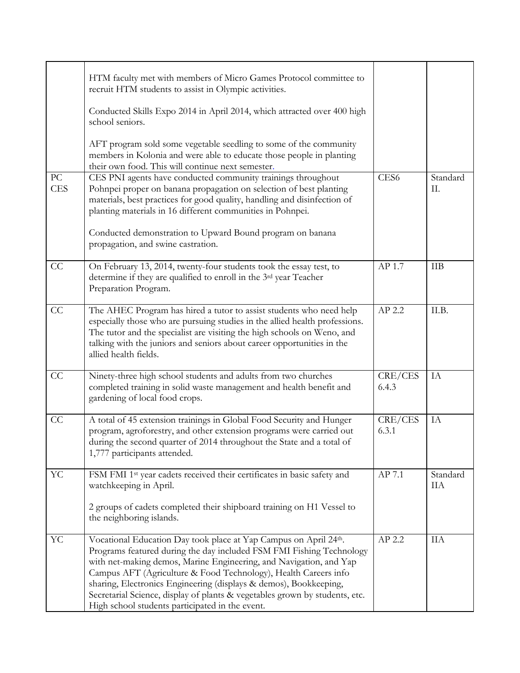|                                | HTM faculty met with members of Micro Games Protocol committee to<br>recruit HTM students to assist in Olympic activities.                                                                                                                                                                                                                                                                                                                                                               |                  |                 |
|--------------------------------|------------------------------------------------------------------------------------------------------------------------------------------------------------------------------------------------------------------------------------------------------------------------------------------------------------------------------------------------------------------------------------------------------------------------------------------------------------------------------------------|------------------|-----------------|
|                                | Conducted Skills Expo 2014 in April 2014, which attracted over 400 high<br>school seniors.                                                                                                                                                                                                                                                                                                                                                                                               |                  |                 |
|                                | AFT program sold some vegetable seedling to some of the community<br>members in Kolonia and were able to educate those people in planting<br>their own food. This will continue next semester.                                                                                                                                                                                                                                                                                           |                  |                 |
| ${\rm P}{\bf C}$<br><b>CES</b> | CES PNI agents have conducted community trainings throughout<br>Pohnpei proper on banana propagation on selection of best planting<br>materials, best practices for good quality, handling and disinfection of<br>planting materials in 16 different communities in Pohnpei.                                                                                                                                                                                                             | CES <sub>6</sub> | Standard<br>II. |
|                                | Conducted demonstration to Upward Bound program on banana<br>propagation, and swine castration.                                                                                                                                                                                                                                                                                                                                                                                          |                  |                 |
| CC                             | On February 13, 2014, twenty-four students took the essay test, to<br>determine if they are qualified to enroll in the 3rd year Teacher<br>Preparation Program.                                                                                                                                                                                                                                                                                                                          | AP 1.7           | <b>IIB</b>      |
| CC                             | The AHEC Program has hired a tutor to assist students who need help<br>especially those who are pursuing studies in the allied health professions.<br>The tutor and the specialist are visiting the high schools on Weno, and<br>talking with the juniors and seniors about career opportunities in the<br>allied health fields.                                                                                                                                                         | AP 2.2           | II.B.           |
| CC                             | Ninety-three high school students and adults from two churches<br>completed training in solid waste management and health benefit and<br>gardening of local food crops.                                                                                                                                                                                                                                                                                                                  | CRE/CES<br>6.4.3 | IA              |
| CC                             | A total of 45 extension trainings in Global Food Security and Hunger<br>program, agroforestry, and other extension programs were carried out<br>during the second quarter of 2014 throughout the State and a total of<br>1,777 participants attended.                                                                                                                                                                                                                                    | CRE/CES<br>6.3.1 | IA              |
| YC                             | FSM FMI 1 <sup>st</sup> year cadets received their certificates in basic safety and<br>watchkeeping in April.                                                                                                                                                                                                                                                                                                                                                                            | AP 7.1           | Standard<br>ПA  |
|                                | 2 groups of cadets completed their shipboard training on H1 Vessel to<br>the neighboring islands.                                                                                                                                                                                                                                                                                                                                                                                        |                  |                 |
| YC                             | Vocational Education Day took place at Yap Campus on April 24th.<br>Programs featured during the day included FSM FMI Fishing Technology<br>with net-making demos, Marine Engineering, and Navigation, and Yap<br>Campus AFT (Agriculture & Food Technology), Health Careers info<br>sharing, Electronics Engineering (displays & demos), Bookkeeping,<br>Secretarial Science, display of plants & vegetables grown by students, etc.<br>High school students participated in the event. | AP 2.2           | <b>IIA</b>      |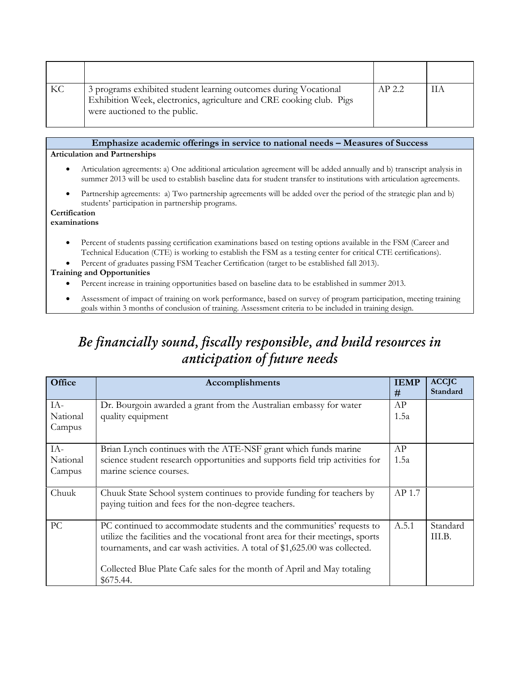| KC | 3 programs exhibited student learning outcomes during Vocational<br>Exhibition Week, electronics, agriculture and CRE cooking club. Pigs<br>were auctioned to the public. | AP 2.2 | ĦА |
|----|---------------------------------------------------------------------------------------------------------------------------------------------------------------------------|--------|----|

#### **Emphasize academic offerings in service to national needs – Measures of Success**

#### **Articulation and Partnerships**

- Articulation agreements: a) One additional articulation agreement will be added annually and b) transcript analysis in summer 2013 will be used to establish baseline data for student transfer to institutions with articulation agreements.
- Partnership agreements: a) Two partnership agreements will be added over the period of the strategic plan and b) students' participation in partnership programs.

#### **Certification**

**examinations** 

- Percent of students passing certification examinations based on testing options available in the FSM (Career and Technical Education (CTE) is working to establish the FSM as a testing center for critical CTE certifications).
- Percent of graduates passing FSM Teacher Certification (target to be established fall 2013).

#### **Training and Opportunities**

- Percent increase in training opportunities based on baseline data to be established in summer 2013.
- Assessment of impact of training on work performance, based on survey of program participation, meeting training goals within 3 months of conclusion of training. Assessment criteria to be included in training design.

# *Be financially sound, fiscally responsible, and build resources in anticipation of future needs*

| Office    | Accomplishments                                                                                                                                               | <b>IEMP</b><br># | <b>ACCJC</b><br>Standard |
|-----------|---------------------------------------------------------------------------------------------------------------------------------------------------------------|------------------|--------------------------|
| IA-       | Dr. Bourgoin awarded a grant from the Australian embassy for water                                                                                            | AP               |                          |
| National  | quality equipment                                                                                                                                             | 1.5a             |                          |
| Campus    |                                                                                                                                                               |                  |                          |
| IA-       | Brian Lynch continues with the ATE-NSF grant which funds marine                                                                                               | AP               |                          |
| National  | science student research opportunities and supports field trip activities for                                                                                 | 1.5a             |                          |
| Campus    | marine science courses.                                                                                                                                       |                  |                          |
| Chuuk     | Chuuk State School system continues to provide funding for teachers by<br>paying tuition and fees for the non-degree teachers.                                | AP 1.7           |                          |
|           |                                                                                                                                                               |                  |                          |
| <b>PC</b> | PC continued to accommodate students and the communities' requests to                                                                                         | A.5.1            | Standard                 |
|           | utilize the facilities and the vocational front area for their meetings, sports<br>tournaments, and car wash activities. A total of \$1,625.00 was collected. |                  | III.B.                   |
|           | Collected Blue Plate Cafe sales for the month of April and May totaling<br>\$675.44.                                                                          |                  |                          |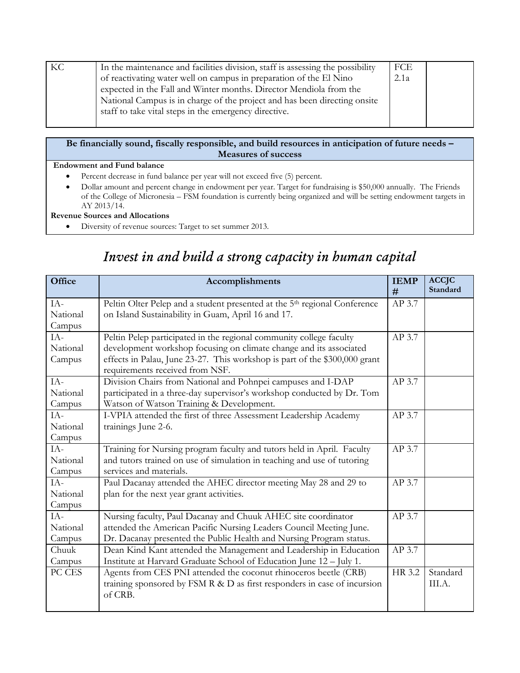| KC | In the maintenance and facilities division, staff is assessing the possibility | FCE  |  |
|----|--------------------------------------------------------------------------------|------|--|
|    | of reactivating water well on campus in preparation of the El Nino             | 2.1a |  |
|    | expected in the Fall and Winter months. Director Mendiola from the             |      |  |
|    | National Campus is in charge of the project and has been directing onsite      |      |  |
|    | staff to take vital steps in the emergency directive.                          |      |  |
|    |                                                                                |      |  |

#### **Be financially sound, fiscally responsible, and build resources in anticipation of future needs – Measures of success**

#### **Endowment and Fund balance**

- Percent decrease in fund balance per year will not exceed five (5) percent.
- Dollar amount and percent change in endowment per year. Target for fundraising is \$50,000 annually. The Friends of the College of Micronesia – FSM foundation is currently being organized and will be setting endowment targets in AY 2013/14.

#### **Revenue Sources and Allocations**

Diversity of revenue sources: Target to set summer 2013.

#### **Office Accomplishments IEMP # ACCJC Standard**  $IA-$ National Campus Peltin Olter Pelep and a student presented at the 5<sup>th</sup> regional Conference on Island Sustainability in Guam, April 16 and 17. AP 3.7  $IA-$ National Campus Peltin Pelep participated in the regional community college faculty development workshop focusing on climate change and its associated effects in Palau, June 23-27. This workshop is part of the \$300,000 grant requirements received from NSF. AP 3.7  $IA-$ National Campus Division Chairs from National and Pohnpei campuses and I-DAP participated in a three-day supervisor's workshop conducted by Dr. Tom Watson of Watson Training & Development. AP 3.7  $IA-$ National Campus I-VPIA attended the first of three Assessment Leadership Academy trainings June 2-6. AP 3.7  $IA-$ National Campus Training for Nursing program faculty and tutors held in April. Faculty and tutors trained on use of simulation in teaching and use of tutoring services and materials. AP 3.7  $IA-$ National Campus Paul Dacanay attended the AHEC director meeting May 28 and 29 to plan for the next year grant activities. AP 3.7  $IA-$ National Campus Nursing faculty, Paul Dacanay and Chuuk AHEC site coordinator attended the American Pacific Nursing Leaders Council Meeting June. Dr. Dacanay presented the Public Health and Nursing Program status. AP 3.7 Chuuk Campus Dean Kind Kant attended the Management and Leadership in Education Institute at Harvard Graduate School of Education June 12 – July 1. AP 3.7 PC CES | Agents from CES PNI attended the coconut rhinoceros beetle (CRB) training sponsored by FSM R & D as first responders in case of incursion of CRB. HR 3.2 Standard III.A.

# *Invest in and build a strong capacity in human capital*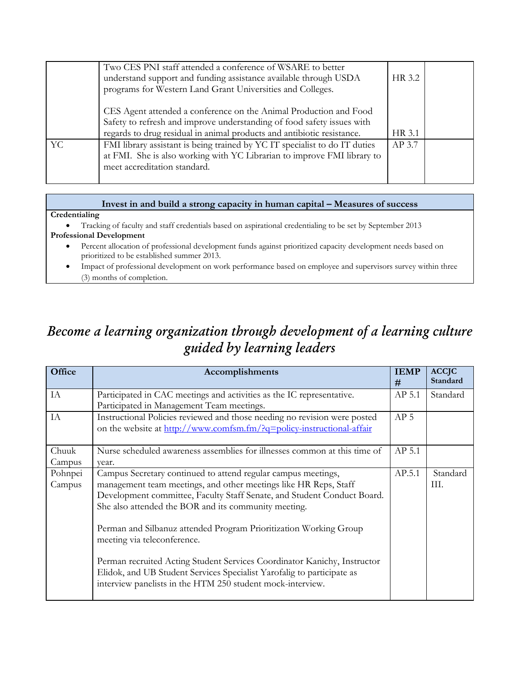|    | Two CES PNI staff attended a conference of WSARE to better<br>understand support and funding assistance available through USDA<br>programs for Western Land Grant Universities and Colleges.                          | HR 3.2 |  |
|----|-----------------------------------------------------------------------------------------------------------------------------------------------------------------------------------------------------------------------|--------|--|
|    | CES Agent attended a conference on the Animal Production and Food<br>Safety to refresh and improve understanding of food safety issues with<br>regards to drug residual in animal products and antibiotic resistance. | HR 3.1 |  |
| YC | FMI library assistant is being trained by YC IT specialist to do IT duties<br>at FMI. She is also working with YC Librarian to improve FMI library to<br>meet accreditation standard.                                 | AP 3.7 |  |

### **Invest in and build a strong capacity in human capital – Measures of success**

#### **Credentialing**

Tracking of faculty and staff credentials based on aspirational credentialing to be set by September 2013

#### **Professional Development**

- Percent allocation of professional development funds against prioritized capacity development needs based on prioritized to be established summer 2013.
- Impact of professional development on work performance based on employee and supervisors survey within three (3) months of completion.

# *Become a learning organization through development of a learning culture guided by learning leaders*

| Office            | Accomplishments                                                                                                                                                                                                                                                                                                                                                                                                                                                                                                                                                                              | <b>IEMP</b><br>#  | <b>ACCJC</b><br>Standard |
|-------------------|----------------------------------------------------------------------------------------------------------------------------------------------------------------------------------------------------------------------------------------------------------------------------------------------------------------------------------------------------------------------------------------------------------------------------------------------------------------------------------------------------------------------------------------------------------------------------------------------|-------------------|--------------------------|
| IA                | Participated in CAC meetings and activities as the IC representative.<br>Participated in Management Team meetings.                                                                                                                                                                                                                                                                                                                                                                                                                                                                           | AP <sub>5.1</sub> | Standard                 |
| IA                | Instructional Policies reviewed and those needing no revision were posted<br>on the website at http://www.comfsm.fm/?q=policy-instructional-affair                                                                                                                                                                                                                                                                                                                                                                                                                                           | AP <sub>5</sub>   |                          |
| Chuuk<br>Campus   | Nurse scheduled awareness assemblies for illnesses common at this time of<br>year.                                                                                                                                                                                                                                                                                                                                                                                                                                                                                                           | AP 5.1            |                          |
| Pohnpei<br>Campus | Campus Secretary continued to attend regular campus meetings,<br>management team meetings, and other meetings like HR Reps, Staff<br>Development committee, Faculty Staff Senate, and Student Conduct Board.<br>She also attended the BOR and its community meeting.<br>Perman and Silbanuz attended Program Prioritization Working Group<br>meeting via teleconference.<br>Perman recruited Acting Student Services Coordinator Kanichy, Instructor<br>Elidok, and UB Student Services Specialist Yarofalig to participate as<br>interview panelists in the HTM 250 student mock-interview. | AP.5.1            | Standard<br>Ш.           |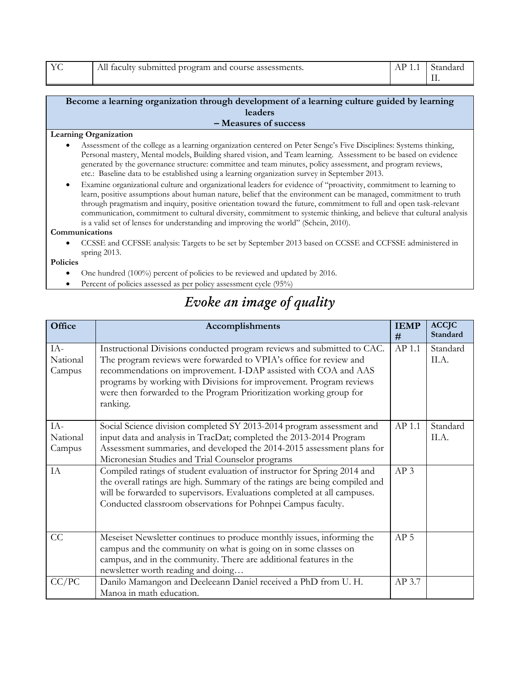| YC | All faculty submitted program and course assessments. | $AP 1.1$ Standard |
|----|-------------------------------------------------------|-------------------|
|    |                                                       |                   |

#### **Become a learning organization through development of a learning culture guided by learning leaders – Measures of success**

#### **Learning Organization**

- Assessment of the college as a learning organization centered on Peter Senge's Five Disciplines: Systems thinking, Personal mastery, Mental models, Building shared vision, and Team learning. Assessment to be based on evidence generated by the governance structure: committee and team minutes, policy assessment, and program reviews, etc.: Baseline data to be established using a learning organization survey in September 2013.
- Examine organizational culture and organizational leaders for evidence of "proactivity, commitment to learning to learn, positive assumptions about human nature, belief that the environment can be managed, commitment to truth through pragmatism and inquiry, positive orientation toward the future, commitment to full and open task-relevant communication, commitment to cultural diversity, commitment to systemic thinking, and believe that cultural analysis is a valid set of lenses for understanding and improving the world" (Schein, 2010).

#### **Communications**

 CCSSE and CCFSSE analysis: Targets to be set by September 2013 based on CCSSE and CCFSSE administered in spring 2013.

#### **Policies**

- One hundred (100%) percent of policies to be reviewed and updated by 2016.
- Percent of policies assessed as per policy assessment cycle (95%)

### *Evoke an image of quality*

| Office                      | Accomplishments                                                                                                                                                                                                                                                                                                                                                            | <b>IEMP</b><br>#  | <b>ACCJC</b><br>Standard |
|-----------------------------|----------------------------------------------------------------------------------------------------------------------------------------------------------------------------------------------------------------------------------------------------------------------------------------------------------------------------------------------------------------------------|-------------------|--------------------------|
| $IA-$<br>National<br>Campus | Instructional Divisions conducted program reviews and submitted to CAC.<br>The program reviews were forwarded to VPIA's office for review and<br>recommendations on improvement. I-DAP assisted with COA and AAS<br>programs by working with Divisions for improvement. Program reviews<br>were then forwarded to the Program Prioritization working group for<br>ranking. | AP <sub>1.1</sub> | Standard<br>II.A.        |
| $IA-$<br>National<br>Campus | Social Science division completed SY 2013-2014 program assessment and<br>input data and analysis in TracDat; completed the 2013-2014 Program<br>Assessment summaries, and developed the 2014-2015 assessment plans for<br>Micronesian Studies and Trial Counselor programs                                                                                                 | $AP$ 1.1          | Standard<br>II.A.        |
| IA                          | Compiled ratings of student evaluation of instructor for Spring 2014 and<br>the overall ratings are high. Summary of the ratings are being compiled and<br>will be forwarded to supervisors. Evaluations completed at all campuses.<br>Conducted classroom observations for Pohnpei Campus faculty.                                                                        | AP <sub>3</sub>   |                          |
| CC                          | Meseiset Newsletter continues to produce monthly issues, informing the<br>campus and the community on what is going on in some classes on<br>campus, and in the community. There are additional features in the<br>newsletter worth reading and doing                                                                                                                      | AP <sub>5</sub>   |                          |
| CC/PC                       | Danilo Mamangon and Deeleeann Daniel received a PhD from U. H.<br>Manoa in math education.                                                                                                                                                                                                                                                                                 | AP 3.7            |                          |